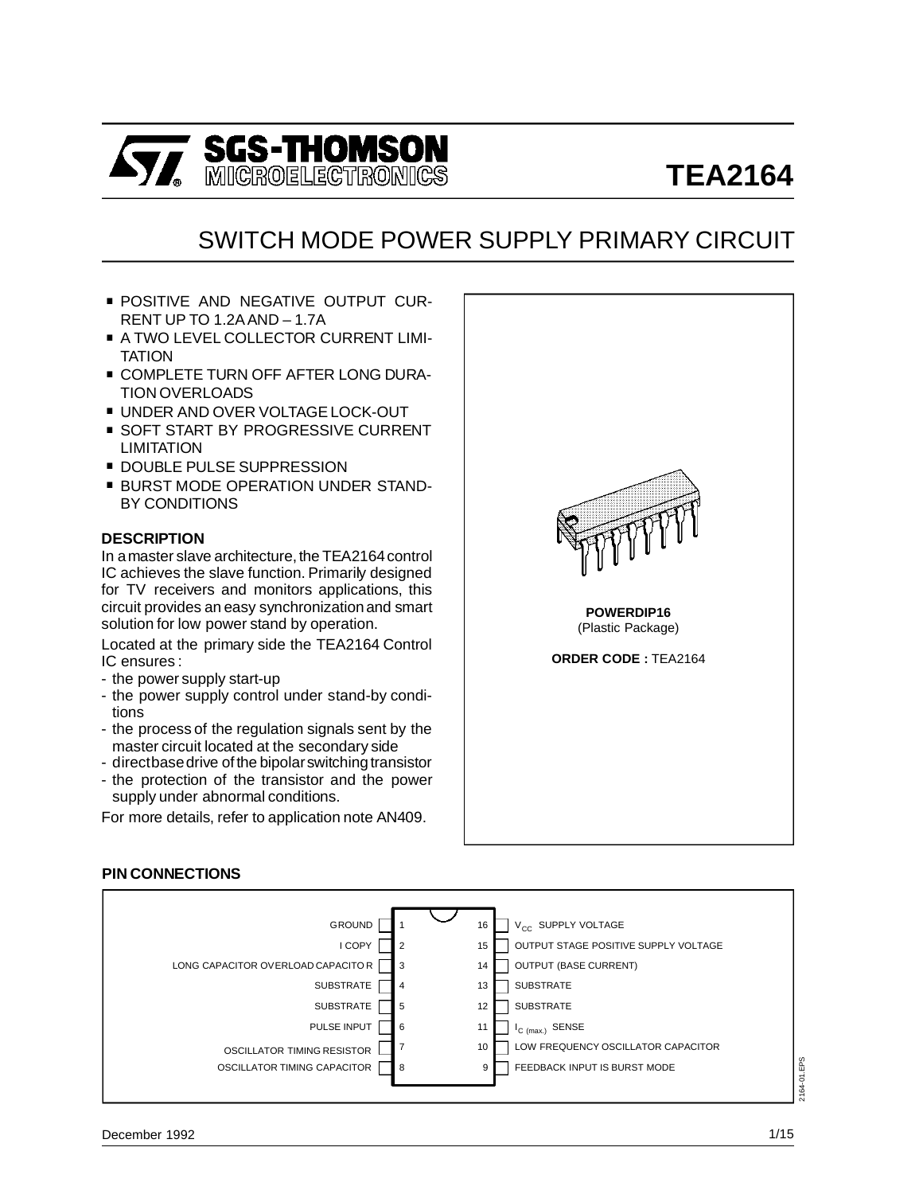

## SWITCH MODE POWER SUPPLY PRIMARY CIRCUIT

- **POSITIVE AND NEGATIVE OUTPUT CUR-**RENT UP TO 1.2A AND – 1.7A
- **A TWO LEVEL COLLECTOR CURRENT LIMI-**TATION
- **COMPLETE TURN OFF AFTER LONG DURA-**TION OVERLOADS
- . UNDER AND OVER VOLTAGE LOCK-OUT
- **SOFT START BY PROGRESSIVE CURRENT** LIMITATION
- **DOUBLE PULSE SUPPRESSION**
- **BURST MODE OPERATION UNDER STAND-**BY CONDITIONS

## **DESCRIPTION**

In a master slave architecture, the TEA2164 control IC achieves the slave function. Primarily designed for TV receivers and monitors applications, this circuit provides an easy synchronizationand smart solution for low power stand by operation.

Located at the primary side the TEA2164 Control IC ensures :

- the power supply start-up
- the power supply control under stand-by conditions
- the process of the regulation signals sent by the master circuit located at the secondary side
- directbase drive of the bipolar switching transistor
- the protection of the transistor and the power supply under abnormal conditions.

For more details, refer to application note AN409.



## **PIN CONNECTIONS**

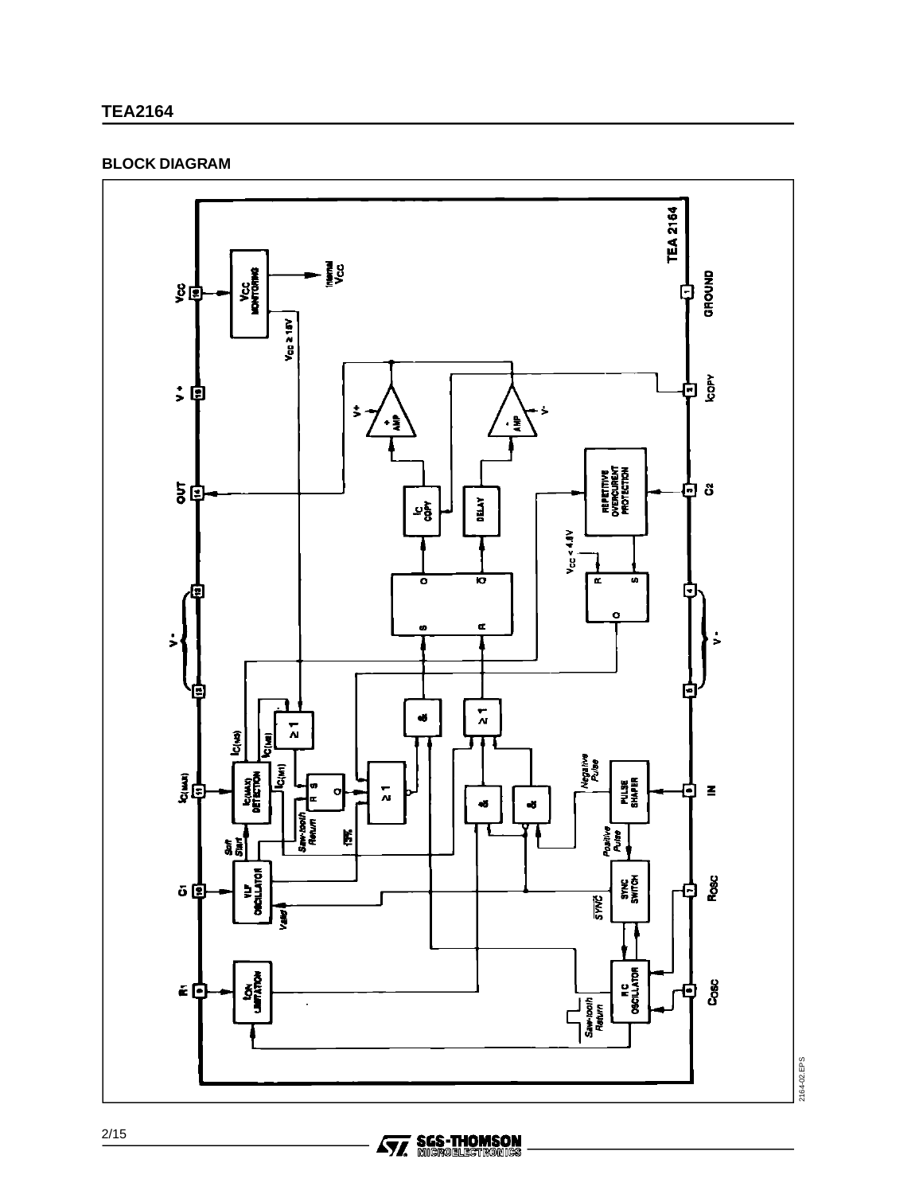#### **BLOCK DIAGRAM**



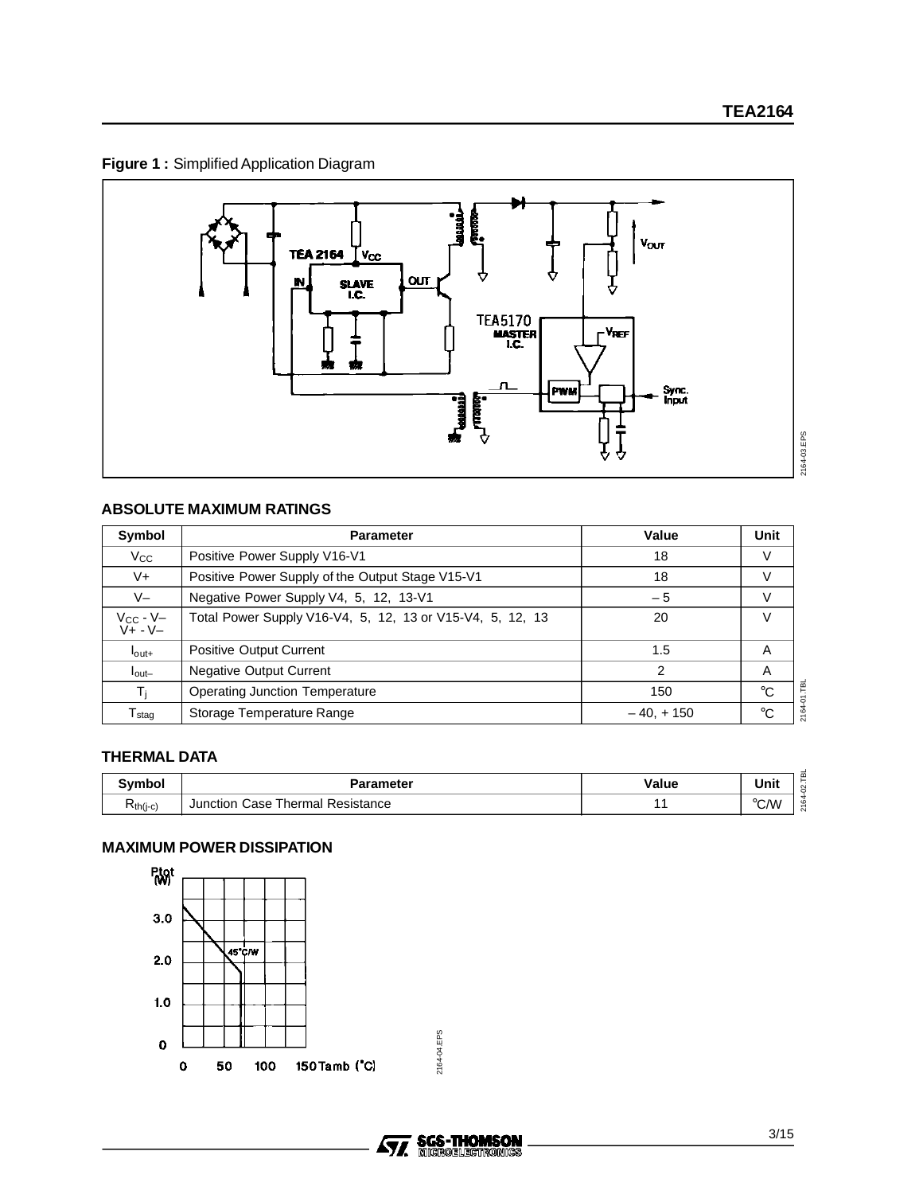## **Figure 1 :** Simplified Application Diagram



## **ABSOLUTE MAXIMUM RATINGS**

| Symbol                          | <b>Parameter</b>                                          | Value       | Unit        |
|---------------------------------|-----------------------------------------------------------|-------------|-------------|
| $V_{\rm CC}$                    | Positive Power Supply V16-V1                              | 18          | V           |
| V+                              | Positive Power Supply of the Output Stage V15-V1          | 18          |             |
| $V -$                           | Negative Power Supply V4, 5, 12, 13-V1                    | $-5$        |             |
| V <sub>CC</sub> - V-<br>V+ - V- | Total Power Supply V16-V4, 5, 12, 13 or V15-V4, 5, 12, 13 | 20          | v           |
| $I_{\text{out+}}$               | <b>Positive Output Current</b>                            | 1.5         | A           |
| $I_{\text{out}-}$               | <b>Negative Output Current</b>                            | 2           | A           |
| Τi                              | <b>Operating Junction Temperature</b>                     | 150         | $^{\circ}C$ |
| $\mathsf{T}_{\textsf{staq}}$    | Storage Temperature Range                                 | $-40, +150$ | °C          |

## **THERMAL DATA**

| Svmbol   | Parameter                                 | Value | Unit                    |
|----------|-------------------------------------------|-------|-------------------------|
| Kth(j-c) | Resistance<br>Thermal<br>Case<br>Junction |       | $^{\circ}$ C.AM<br>◡៸៴៶ |

## **MAXIMUM POWER DISSIPATION**



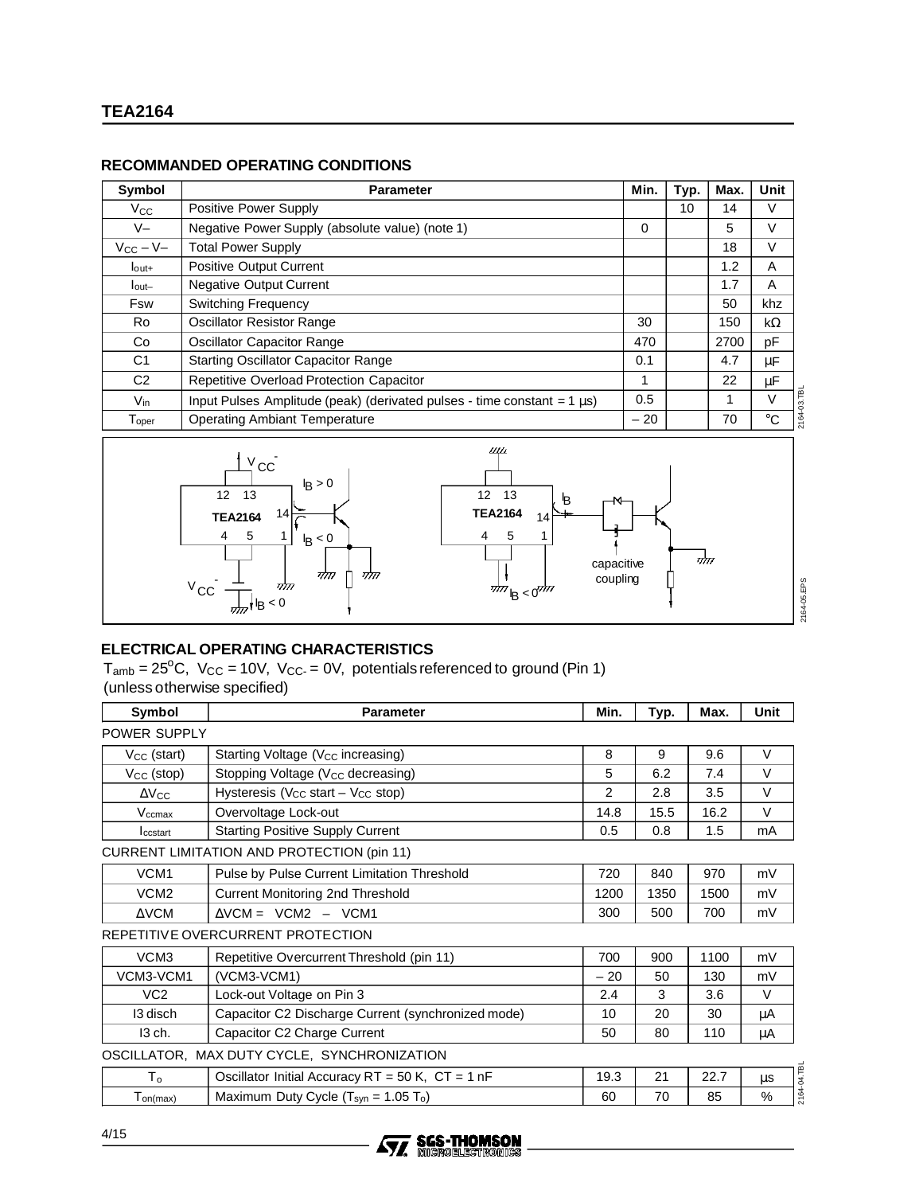## **RECOMMANDED OPERATING CONDITIONS**

| Symbol                      | <b>Parameter</b>                                                              | Min.  | Typ. | Max. | Unit         |
|-----------------------------|-------------------------------------------------------------------------------|-------|------|------|--------------|
| $V_{\rm CC}$                | <b>Positive Power Supply</b>                                                  |       | 10   | 14   |              |
| $V-I$                       | Negative Power Supply (absolute value) (note 1)                               | 0     |      | 5    | $\vee$       |
| $V_{CC} - V -$              | <b>Total Power Supply</b>                                                     |       |      | 18   | V            |
| $I_{\text{Out+}}$           | <b>Positive Output Current</b>                                                |       |      | 1.2  | A            |
| $I_{\text{out}-}$           | <b>Negative Output Current</b>                                                |       |      | 1.7  | A            |
| Fsw                         | <b>Switching Frequency</b>                                                    |       |      | 50   | khz          |
| Ro                          | <b>Oscillator Resistor Range</b>                                              | 30    |      | 150  | kΩ           |
| Co                          | <b>Oscillator Capacitor Range</b>                                             | 470   |      | 2700 | рF           |
| C <sub>1</sub>              | <b>Starting Oscillator Capacitor Range</b>                                    | 0.1   |      | 4.7  | μF           |
| C <sub>2</sub>              | <b>Repetitive Overload Protection Capacitor</b>                               | 1     |      | 22   | μF           |
| $V_{\text{in}}$             | Input Pulses Amplitude (peak) (derivated pulses - time constant = $1 \mu s$ ) | 0.5   |      |      | V            |
| ${\mathsf T}_{\text{oper}}$ | <b>Operating Ambiant Temperature</b>                                          | $-20$ |      | 70   | $^{\circ}$ C |



## **ELECTRICAL OPERATING CHARACTERISTICS**

 $T_{amb} = 25^{\circ}$ C, V<sub>CC</sub> = 10V, V<sub>CC</sub> = 0V, potentials referenced to ground (Pin 1) (unless otherwise specified)

| Symbol              | <b>Parameter</b>                                      | Min.  | Typ. | Max. | Unit              |
|---------------------|-------------------------------------------------------|-------|------|------|-------------------|
| POWER SUPPLY        |                                                       |       |      |      |                   |
| $V_{CC}$ (start)    | Starting Voltage (V <sub>CC</sub> increasing)         | 8     | 9    | 9.6  | V                 |
| $V_{CC}$ (stop)     | Stopping Voltage (V <sub>CC</sub> decreasing)         | 5     | 6.2  | 7.4  | $\vee$            |
| $\Delta V_{\rm CC}$ | Hysteresis ( $V_{CC}$ start – $V_{CC}$ stop)          | 2     | 2.8  | 3.5  | $\vee$            |
| $V_{\text{ccmax}}$  | Overvoltage Lock-out                                  | 14.8  | 15.5 | 16.2 | $\vee$            |
| Iccstart            | <b>Starting Positive Supply Current</b>               | 0.5   | 0.8  | 1.5  | mA                |
|                     | <b>CURRENT LIMITATION AND PROTECTION (pin 11)</b>     |       |      |      |                   |
| VCM1                | Pulse by Pulse Current Limitation Threshold           | 720   | 840  | 970  | mV                |
| VCM2                | Current Monitoring 2nd Threshold                      | 1200  | 1350 | 1500 | mV                |
| $\triangle$ VCM     | $\Delta$ VCM = $ VCM2 $ – $ VCM1 $                    | 300   | 500  | 700  | mV                |
|                     | REPETITIVE OVERCURRENT PROTECTION                     |       |      |      |                   |
| VCM3                | Repetitive Overcurrent Threshold (pin 11)             |       | 900  | 1100 | mV                |
| VCM3-VCM1           | (VCM3-VCM1)                                           | $-20$ | 50   | 130  | mV                |
| VC <sub>2</sub>     | Lock-out Voltage on Pin 3                             | 2.4   | 3    | 3.6  | $\vee$            |
| 13 disch            | Capacitor C2 Discharge Current (synchronized mode)    |       | 20   | 30   | μA                |
| 13 ch.              | Capacitor C2 Charge Current                           | 50    | 80   | 110  | μA                |
|                     | OSCILLATOR, MAX DUTY CYCLE, SYNCHRONIZATION           |       |      |      |                   |
| $T_{o}$             | Oscillator Initial Accuracy $RT = 50 K$ , $CT = 1 nF$ |       | 21   | 22.7 | 2164-04.TBL<br>μs |
| $T_{on(max)}$       | Maximum Duty Cycle $(T_{syn} = 1.05 T_0)$             | 60    | 70   | 85   | $\%$              |

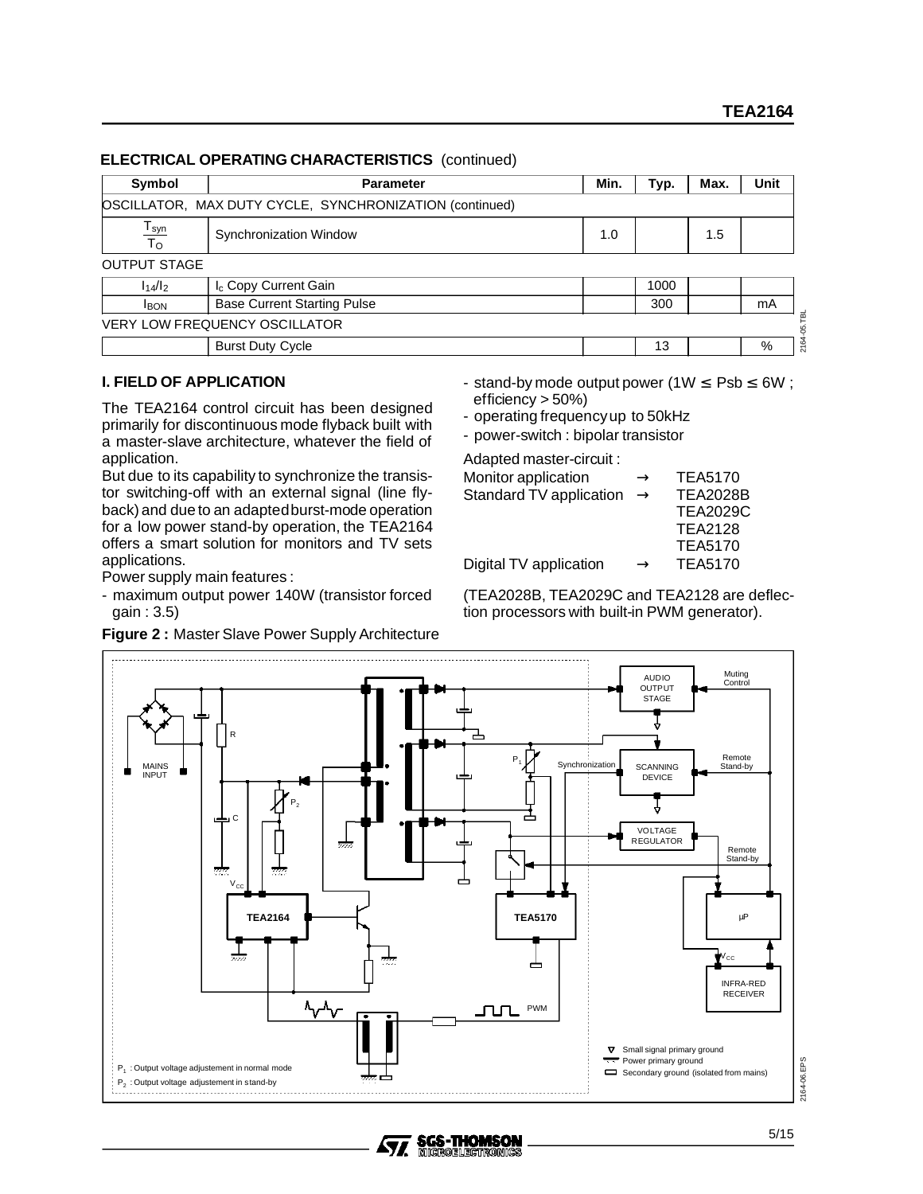#### **ELECTRICAL OPERATING CHARACTERISTICS** (continued)

| Symbol                | <b>Parameter</b>                                        | Min. | Typ. | Max. | Unit |
|-----------------------|---------------------------------------------------------|------|------|------|------|
|                       | OSCILLATOR, MAX DUTY CYCLE, SYNCHRONIZATION (continued) |      |      |      |      |
| $\frac{T_{syn}}{T_O}$ | Synchronization Window<br>1.0                           |      |      |      |      |
| <b>OUTPUT STAGE</b>   |                                                         |      |      |      |      |
| $I_14/I_2$            | I <sub>c</sub> Copy Current Gain                        |      | 1000 |      |      |
| <b>I</b> BON          | <b>Base Current Starting Pulse</b>                      |      | 300  |      | mA   |
|                       | <b>VERY LOW FREQUENCY OSCILLATOR</b>                    |      |      |      |      |
|                       | <b>Burst Duty Cycle</b>                                 |      | 13   |      | %    |

## **I. FIELD OF APPLICATION**

The TEA2164 control circuit has been designed primarily for discontinuous mode flyback built with a master-slave architecture, whatever the field of application.

But due to its capability to synchronize the transistor switching-off with an external signal (line flyback) and due to an adaptedburst-mode operation for a low power stand-by operation, the TEA2164 offers a smart solution for monitors and TV sets applications.

Power supply main features :

- maximum output power 140W (transistor forced gain : 3.5)

| Figure 2: Master Slave Power Supply Architecture |  |
|--------------------------------------------------|--|
|--------------------------------------------------|--|

- stand-by mode output power (1W  $\leq$  Psb  $\leq$  6W; efficiency  $>$  50%)

- operating frequencyup to 50kHz

- power-switch : bipolar transistor

Adapted master-circuit :

| Monitor application     | $\rightarrow$ | <b>TEA5170</b>  |
|-------------------------|---------------|-----------------|
| Standard TV application | $\rightarrow$ | <b>TEA2028B</b> |
|                         |               | <b>TEA2029C</b> |
|                         |               | <b>TEA2128</b>  |
|                         |               | <b>TEA5170</b>  |
| Digital TV application  | $\rightarrow$ | <b>TEA5170</b>  |

(TEA2028B, TEA2029C and TEA2128 are deflection processors with built-in PWM generator).



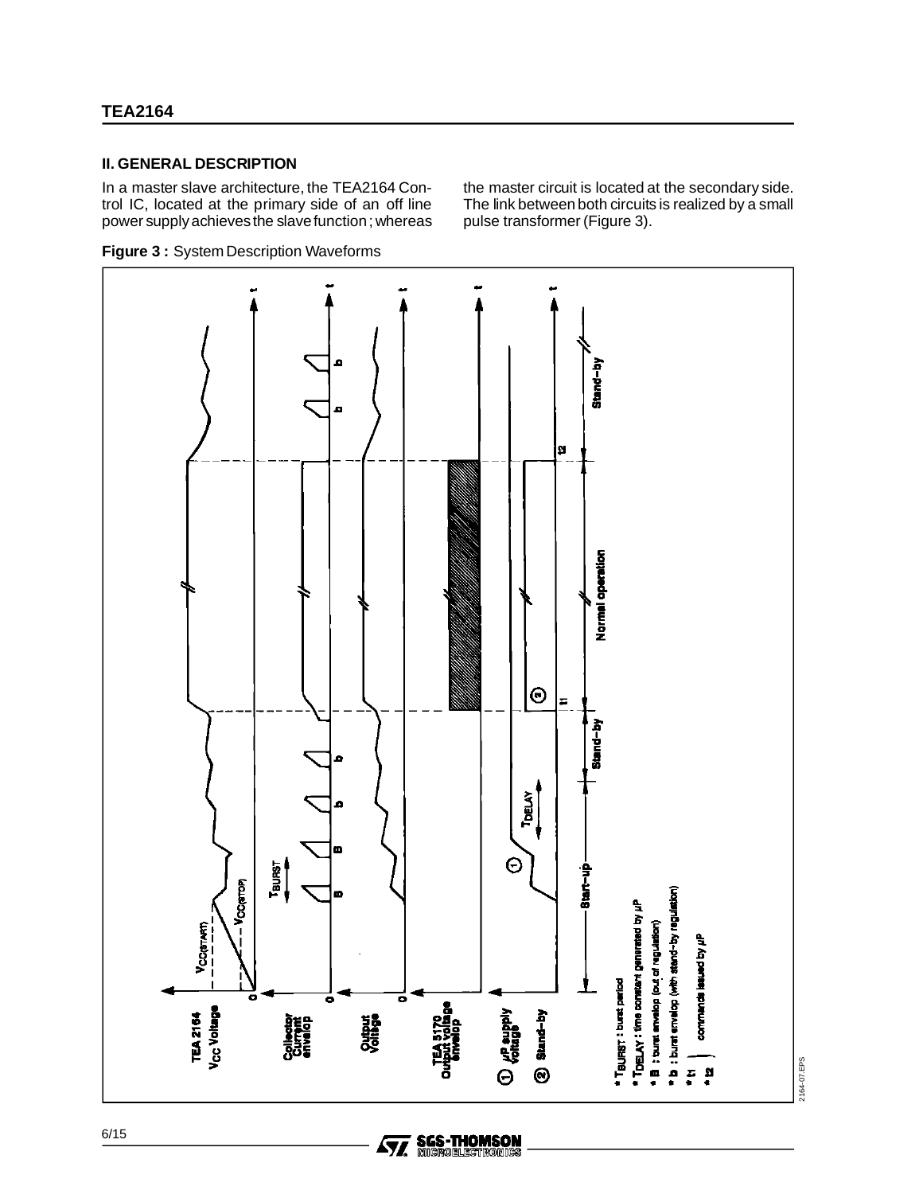#### **II. GENERAL DESCRIPTION**

In a master slave architecture, the TEA2164 Control IC, located at the primary side of an off line power supplyachievesthe slavefunction; whereas the master circuit is located at the secondary side. The link between both circuits is realized by a small pulse transformer (Figure 3).





**SGS-THOMSON<br>MICROELEGTRONICS** 

57.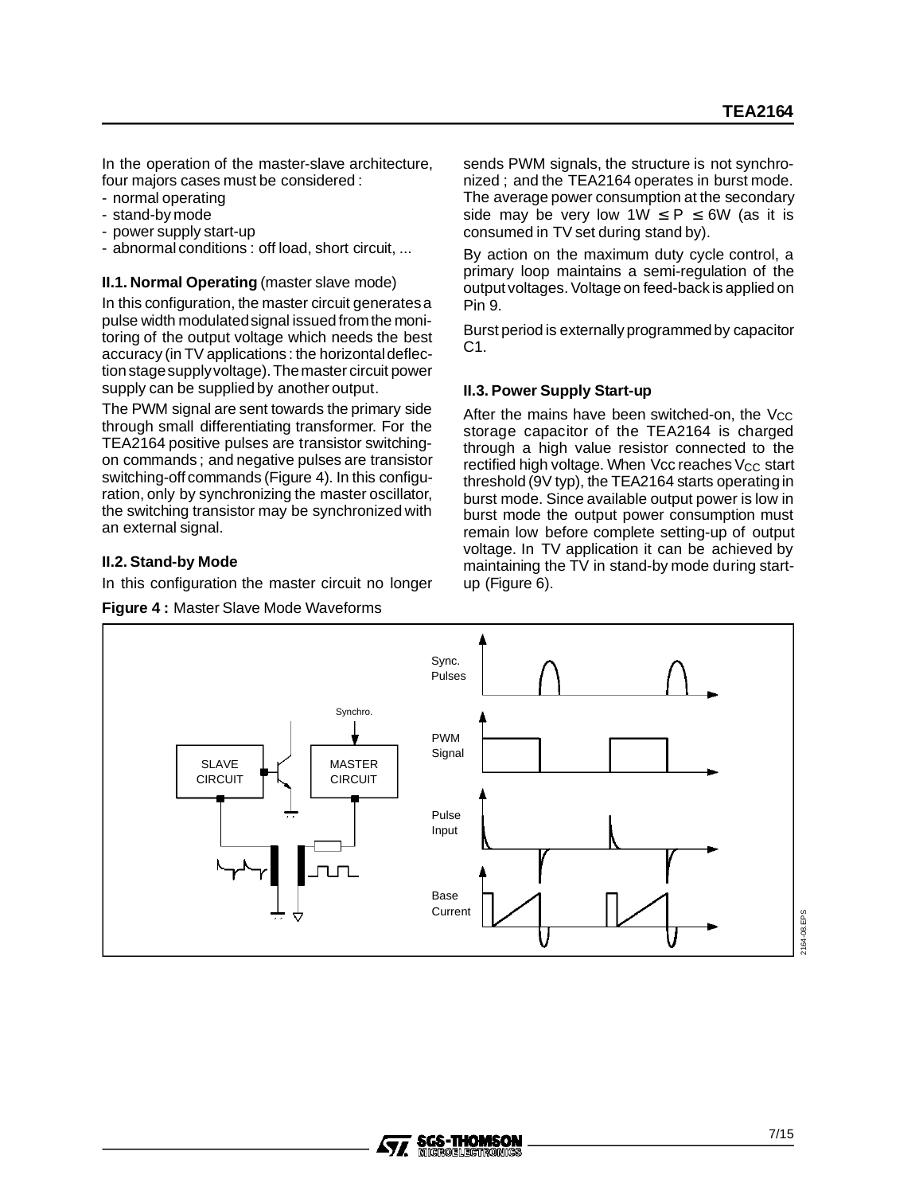In the operation of the master-slave architecture, four majors cases must be considered :

- normal operating
- stand-by mode
- power supply start-up
- abnormal conditions : off load, short circuit, ...

**II.1. Normal Operating** (master slave mode)

In this configuration, the master circuit generatesa pulse width modulatedsignal issued from the monitoring of the output voltage which needs the best accuracy (in TV applications : the horizontaldeflection stage supply voltage). The master circuit power supply can be supplied by another output.

The PWM signal are sent towards the primary side through small differentiating transformer. For the TEA2164 positive pulses are transistor switchingon commands ; and negative pulses are transistor switching-off commands (Figure 4). In this configuration, only by synchronizing the master oscillator, the switching transistor may be synchronized with an external signal.

## **II.2. Stand-by Mode**

In this configuration the master circuit no longer



sends PWM signals, the structure is not synchronized ; and the TEA2164 operates in burst mode. The average power consumption at the secondary side may be very low  $1W \le P \le 6W$  (as it is consumed in TV set during stand by).

By action on the maximum duty cycle control, a primary loop maintains a semi-regulation of the output voltages. Voltage on feed-back is applied on Pin 9.

Burst period is externallyprogrammedby capacitor C1.

## **II.3. Power Supply Start-up**

After the mains have been switched-on, the Vcc storage capacitor of the TEA2164 is charged through a high value resistor connected to the rectified high voltage. When Vcc reaches  $V_{CC}$  start threshold (9V typ), the TEA2164 starts operatingin burst mode. Since available output power is low in burst mode the output power consumption must remain low before complete setting-up of output voltage. In TV application it can be achieved by maintaining the TV in stand-by mode during startup (Figure 6).

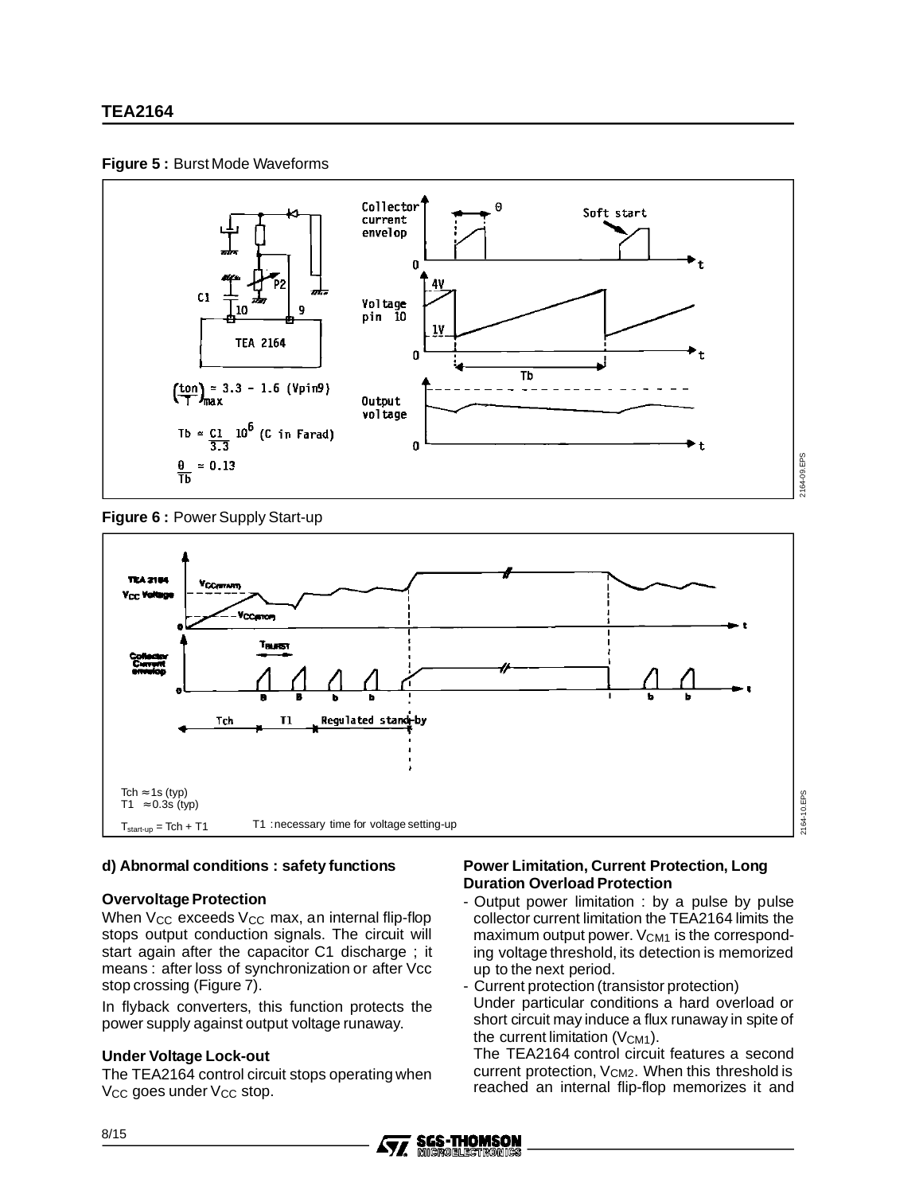



**Figure 6 :** Power Supply Start-up



#### **d) Abnormal conditions : safety functions**

#### **Overvoltage Protection**

When  $V_{CC}$  exceeds  $V_{CC}$  max, an internal flip-flop stops output conduction signals. The circuit will start again after the capacitor C1 discharge ; it means : after loss of synchronization or after Vcc stop crossing (Figure 7).

In flyback converters, this function protects the power supply against output voltage runaway.

#### **Under Voltage Lock-out**

The TEA2164 control circuit stops operating when V<sub>CC</sub> goes under V<sub>CC</sub> stop.

#### **Power Limitation, Current Protection, Long Duration Overload Protection**

- Output power limitation : by a pulse by pulse collector current limitation the TEA2164 limits the maximum output power.  $V_{CM1}$  is the corresponding voltage threshold, its detection is memorized up to the next period.
- Current protection (transistor protection) Under particular conditions a hard overload or
- short circuit may induce a flux runaway in spite of the current limitation  $(V_{CM1})$ .

The TEA2164 control circuit features a second current protection, V<sub>CM2</sub>. When this threshold is reached an internal flip-flop memorizes it and

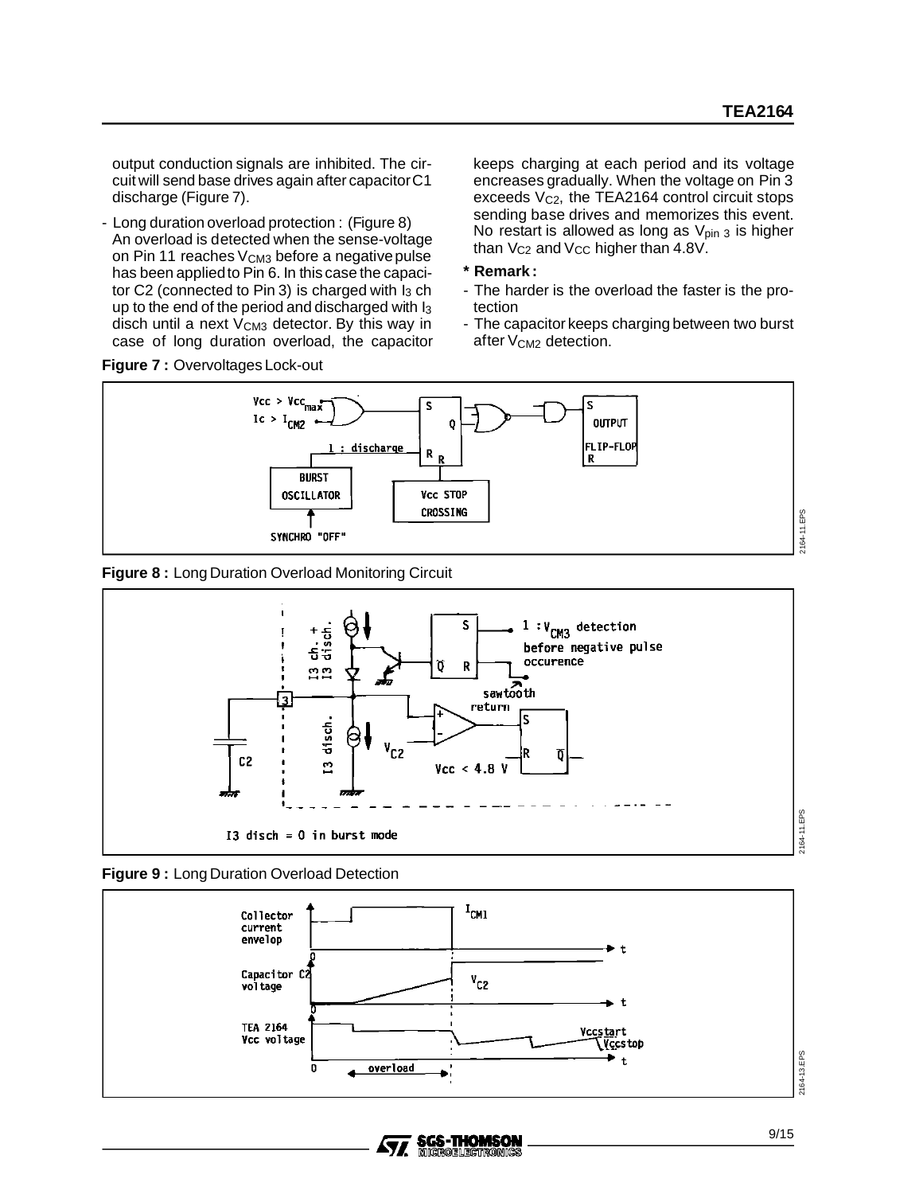output conduction signals are inhibited. The circuit will send base drives again after capacitorC1 discharge (Figure 7).

- Long duration overload protection : (Figure 8) An overload is detected when the sense-voltage on Pin 11 reaches  $V_{CM3}$  before a negative pulse has been appliedto Pin 6. In this case the capacitor C2 (connected to Pin 3) is charged with  $I_3$  ch up to the end of the period and discharged with I3 disch until a next V<sub>CM3</sub> detector. By this way in case of long duration overload, the capacitor

**Figure 7 :** Overvoltages Lock-out

keeps charging at each period and its voltage encreases gradually. When the voltage on Pin 3 exceeds  $V_{C2}$ , the TEA2164 control circuit stops sending base drives and memorizes this event. No restart is allowed as long as  $V_{pin\,3}$  is higher than  $V_{C2}$  and  $V_{CC}$  higher than 4.8V.

- **\* Remark :**
- The harder is the overload the faster is the protection
- The capacitor keeps charging between two burst after V<sub>CM2</sub> detection.



#### **Figure 8 :** Long Duration Overload Monitoring Circuit







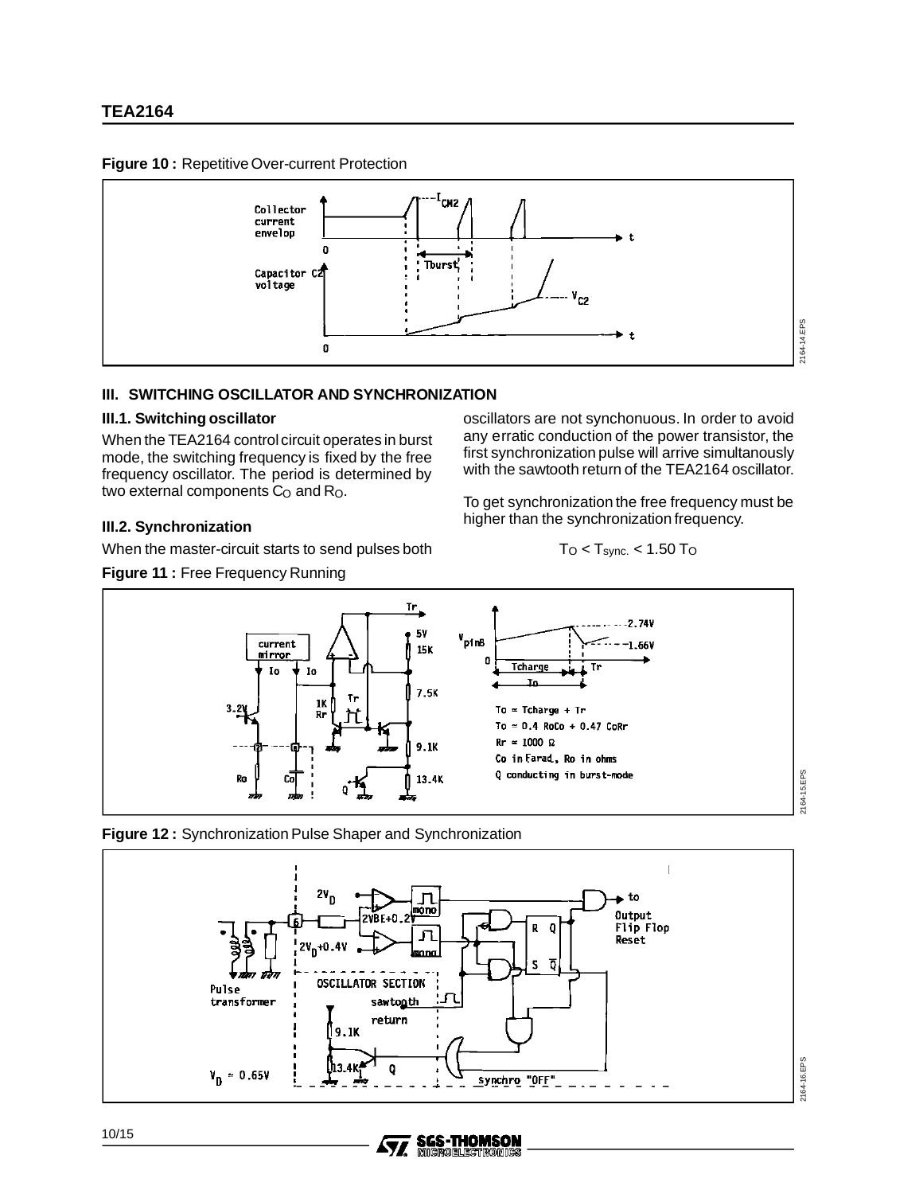#### **Figure 10 :** Repetitive Over-current Protection



#### **III. SWITCHING OSCILLATOR AND SYNCHRONIZATION**

#### **III.1. Switching oscillator**

When the TEA2164 control circuit operates in burst mode, the switching frequency is fixed by the free frequency oscillator. The period is determined by two external components C<sub>O</sub> and R<sub>O</sub>.

#### **III.2. Synchronization**

When the master-circuit starts to send pulses both

**Figure 11 :** Free Frequency Running

#### oscillators are not synchonuous. In order to avoid any erratic conduction of the power transistor, the first synchronization pulse will arrive simultanously with the sawtooth return of the TEA2164 oscillator.

To get synchronization the free frequency must be higher than the synchronization frequency.

$$
T_{\rm O} < T_{\rm sync.} < 1.50~T_{\rm O}
$$







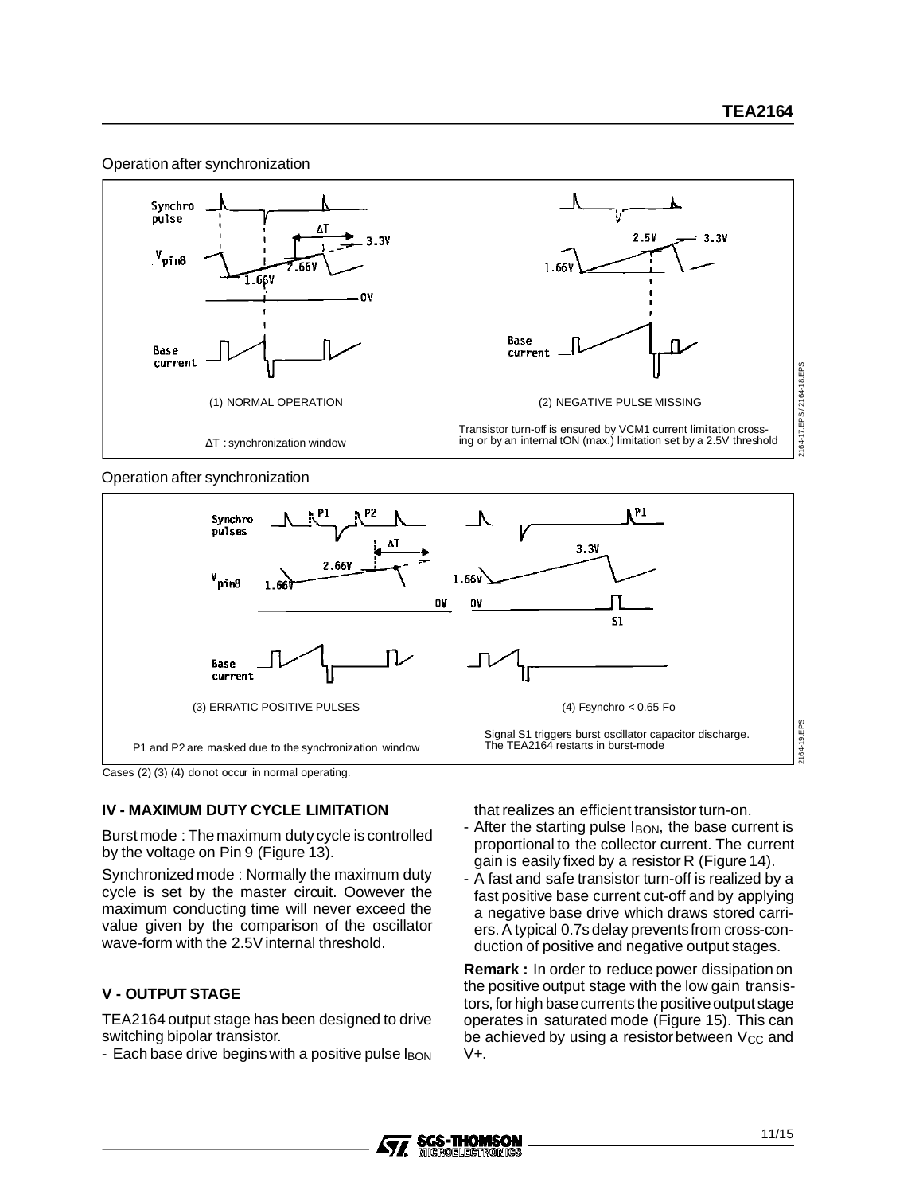#### Operation after synchronization



Operation after synchronization



Cases (2) (3) (4) do not occur in normal operating.

## **IV - MAXIMUM DUTY CYCLE LIMITATION**

Burst mode : Themaximum duty cycle is controlled by the voltage on Pin 9 (Figure 13).

Synchronized mode : Normally the maximum duty cycle is set by the master circuit. Oowever the maximum conducting time will never exceed the value given by the comparison of the oscillator wave-form with the 2.5V internal threshold.

## **V - OUTPUT STAGE**

TEA2164 output stage has been designed to drive switching bipolar transistor.

- Each base drive begins with a positive pulse  $I<sub>BON</sub>$ 

that realizes an efficient transistor turn-on.

- After the starting pulse  $I<sub>BON</sub>$ , the base current is proportional to the collector current. The current gain is easily fixed by a resistor R (Figure 14).
- A fast and safe transistor turn-off is realized by a fast positive base current cut-off and by applying a negative base drive which draws stored carriers. A typical 0.7s delay preventsfrom cross-conduction of positive and negative output stages.

**Remark :** In order to reduce power dissipation on the positive output stage with the low gain transistors, for high base currents the positive output stage operates in saturated mode (Figure 15). This can be achieved by using a resistor between  $V_{CC}$  and V+.

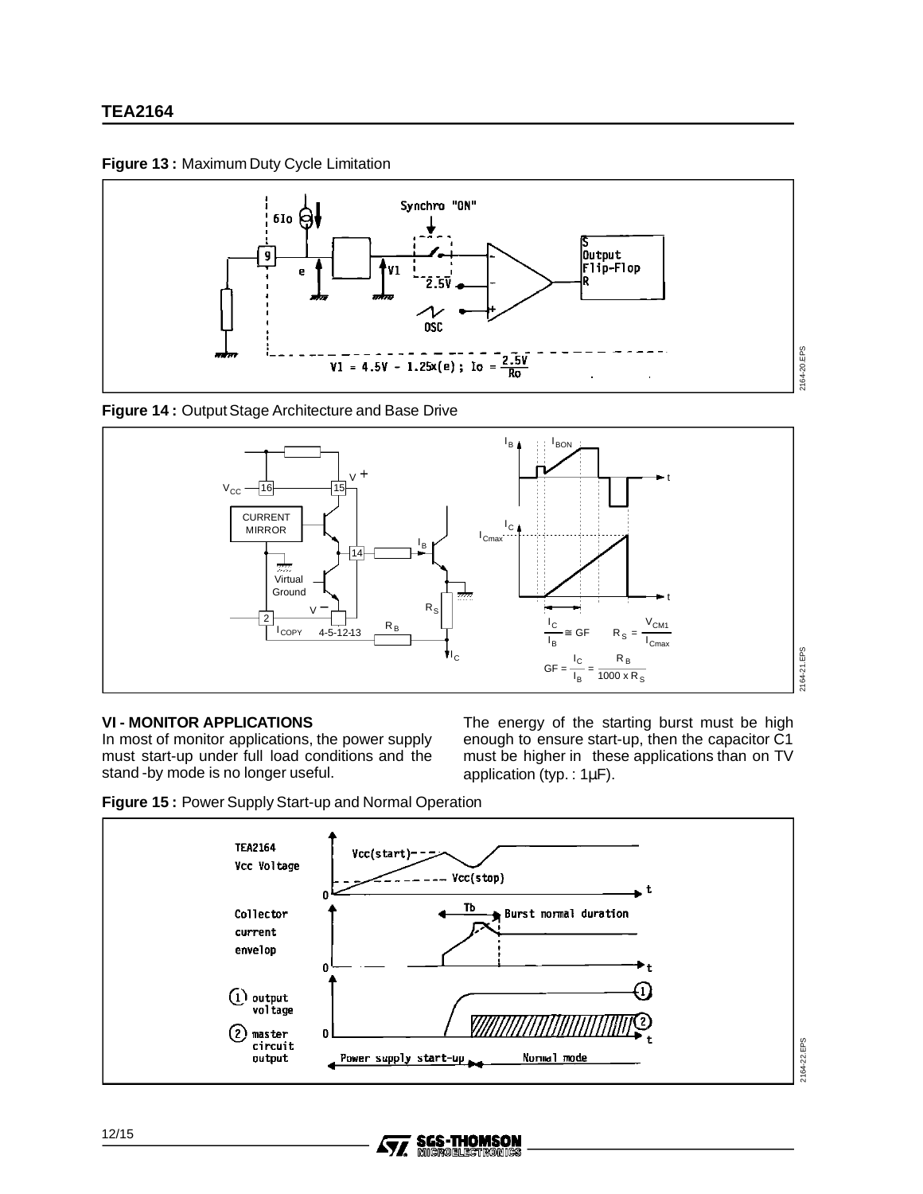



**Figure 14 :** Output Stage Architecture and Base Drive



#### **VI - MONITOR APPLICATIONS**

In most of monitor applications, the power supply must start-up under full load conditions and the stand -by mode is no longer useful.

The energy of the starting burst must be high enough to ensure start-up, then the capacitor C1 must be higher in these applications than on TV application (typ. : 1µF).





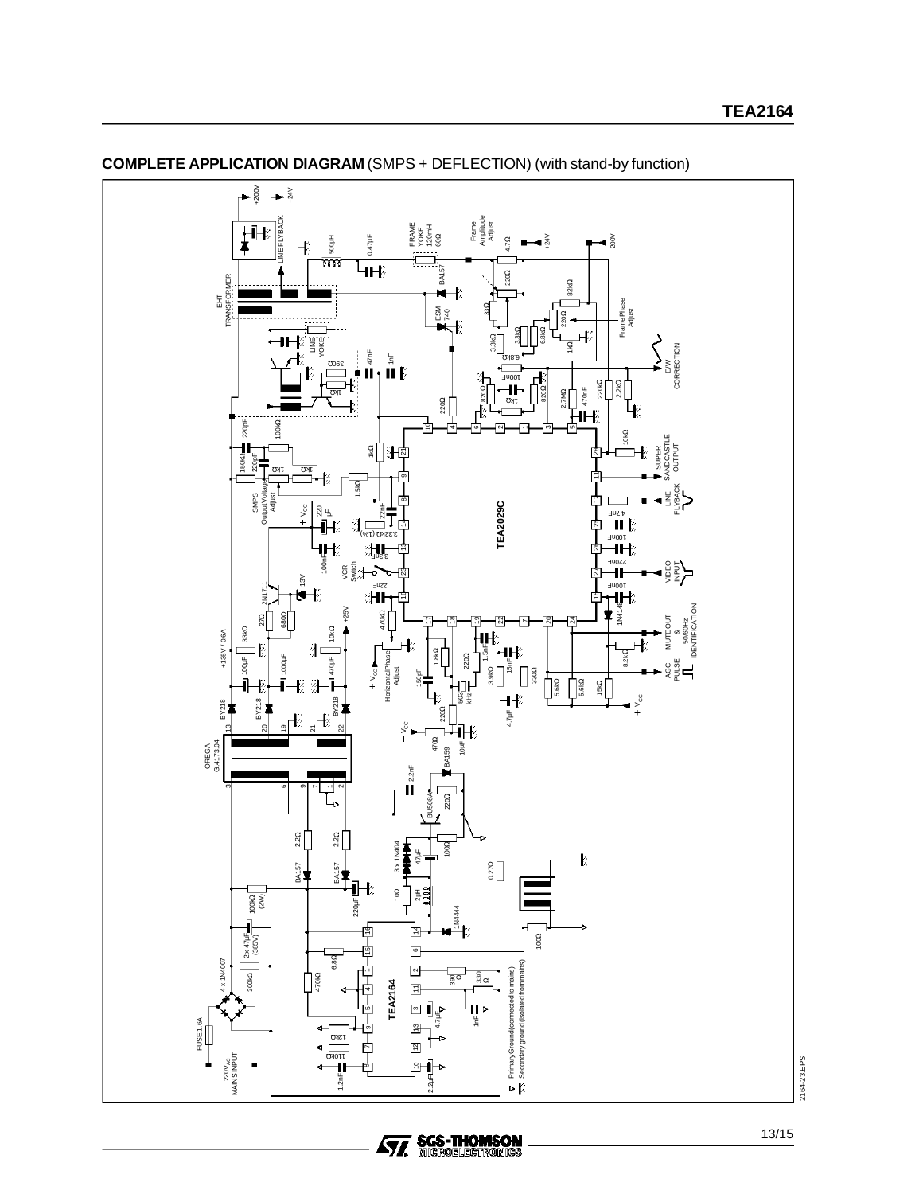

**COMPLETE APPLICATION DIAGRAM** (SMPS + DEFLECTION) (with stand-by function)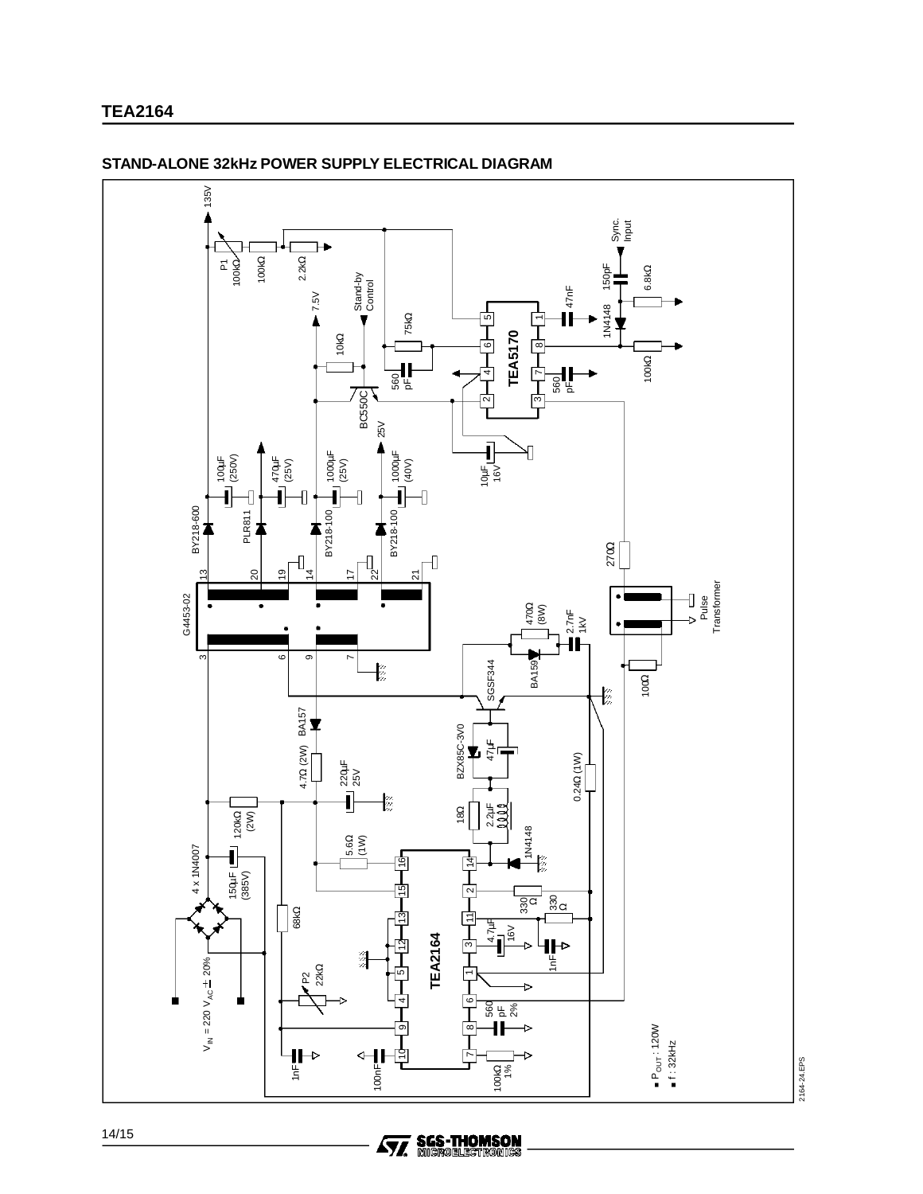